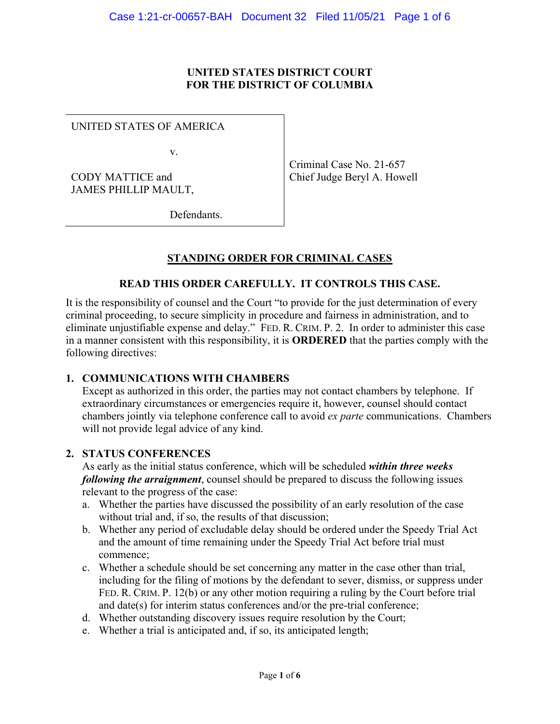### **UNITED STATES DISTRICT COURT FOR THE DISTRICT OF COLUMBIA**

UNITED STATES OF AMERICA

v.

CODY MATTICE and JAMES PHILLIP MAULT, Criminal Case No. 21-657 Chief Judge Beryl A. Howell

Defendants.

# **STANDING ORDER FOR CRIMINAL CASES**

## **READ THIS ORDER CAREFULLY. IT CONTROLS THIS CASE.**

It is the responsibility of counsel and the Court "to provide for the just determination of every criminal proceeding, to secure simplicity in procedure and fairness in administration, and to eliminate unjustifiable expense and delay." FED. R. CRIM. P. 2. In order to administer this case in a manner consistent with this responsibility, it is **ORDERED** that the parties comply with the following directives:

#### **1. COMMUNICATIONS WITH CHAMBERS**

Except as authorized in this order, the parties may not contact chambers by telephone. If extraordinary circumstances or emergencies require it, however, counsel should contact chambers jointly via telephone conference call to avoid *ex parte* communications. Chambers will not provide legal advice of any kind.

### **2. STATUS CONFERENCES**

As early as the initial status conference, which will be scheduled *within three weeks following the arraignment*, counsel should be prepared to discuss the following issues relevant to the progress of the case:

- a. Whether the parties have discussed the possibility of an early resolution of the case without trial and, if so, the results of that discussion;
- b. Whether any period of excludable delay should be ordered under the Speedy Trial Act and the amount of time remaining under the Speedy Trial Act before trial must commence;
- c. Whether a schedule should be set concerning any matter in the case other than trial, including for the filing of motions by the defendant to sever, dismiss, or suppress under FED. R. CRIM. P. 12(b) or any other motion requiring a ruling by the Court before trial and date(s) for interim status conferences and/or the pre-trial conference;
- d. Whether outstanding discovery issues require resolution by the Court;
- e. Whether a trial is anticipated and, if so, its anticipated length;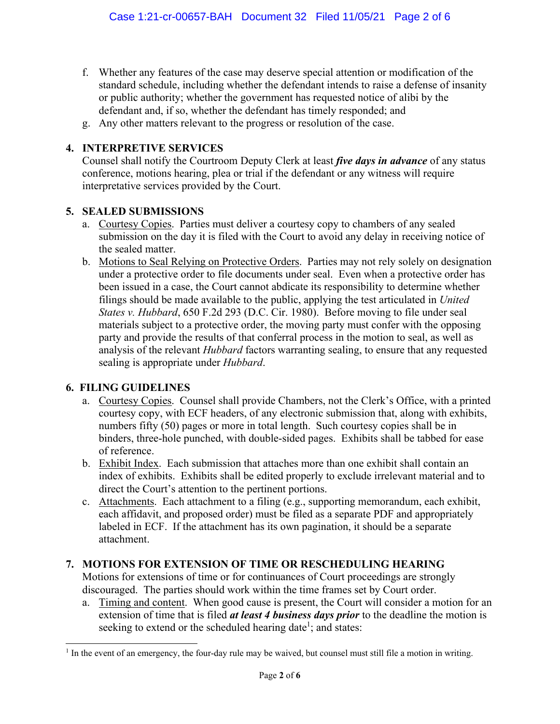- f. Whether any features of the case may deserve special attention or modification of the standard schedule, including whether the defendant intends to raise a defense of insanity or public authority; whether the government has requested notice of alibi by the defendant and, if so, whether the defendant has timely responded; and
- g. Any other matters relevant to the progress or resolution of the case.

## **4. INTERPRETIVE SERVICES**

Counsel shall notify the Courtroom Deputy Clerk at least *five days in advance* of any status conference, motions hearing, plea or trial if the defendant or any witness will require interpretative services provided by the Court.

## **5. SEALED SUBMISSIONS**

- a. Courtesy Copies. Parties must deliver a courtesy copy to chambers of any sealed submission on the day it is filed with the Court to avoid any delay in receiving notice of the sealed matter.
- b. Motions to Seal Relying on Protective Orders. Parties may not rely solely on designation under a protective order to file documents under seal. Even when a protective order has been issued in a case, the Court cannot abdicate its responsibility to determine whether filings should be made available to the public, applying the test articulated in *United States v. Hubbard*, 650 F.2d 293 (D.C. Cir. 1980). Before moving to file under seal materials subject to a protective order, the moving party must confer with the opposing party and provide the results of that conferral process in the motion to seal, as well as analysis of the relevant *Hubbard* factors warranting sealing, to ensure that any requested sealing is appropriate under *Hubbard*.

## **6. FILING GUIDELINES**

- a. Courtesy Copies. Counsel shall provide Chambers, not the Clerk's Office, with a printed courtesy copy, with ECF headers, of any electronic submission that, along with exhibits, numbers fifty (50) pages or more in total length. Such courtesy copies shall be in binders, three-hole punched, with double-sided pages. Exhibits shall be tabbed for ease of reference.
- b. Exhibit Index. Each submission that attaches more than one exhibit shall contain an index of exhibits. Exhibits shall be edited properly to exclude irrelevant material and to direct the Court's attention to the pertinent portions.
- c. Attachments. Each attachment to a filing (e.g., supporting memorandum, each exhibit, each affidavit, and proposed order) must be filed as a separate PDF and appropriately labeled in ECF. If the attachment has its own pagination, it should be a separate attachment.

## **7. MOTIONS FOR EXTENSION OF TIME OR RESCHEDULING HEARING**

Motions for extensions of time or for continuances of Court proceedings are strongly discouraged. The parties should work within the time frames set by Court order.

a. Timing and content. When good cause is present, the Court will consider a motion for an extension of time that is filed *at least 4 business days prior* to the deadline the motion is seeking to extend or the scheduled hearing date<sup>1</sup>; and states:

<sup>&</sup>lt;sup>1</sup> In the event of an emergency, the four-day rule may be waived, but counsel must still file a motion in writing.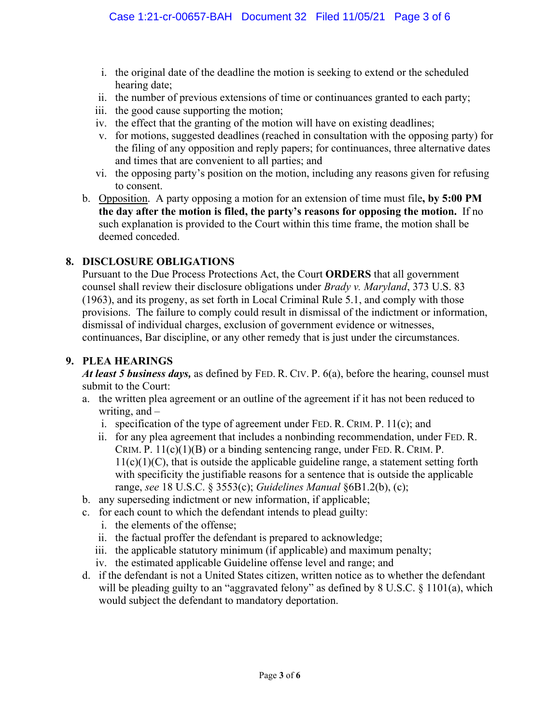- i. the original date of the deadline the motion is seeking to extend or the scheduled hearing date;
- ii. the number of previous extensions of time or continuances granted to each party;
- iii. the good cause supporting the motion;
- iv. the effect that the granting of the motion will have on existing deadlines;
- v. for motions, suggested deadlines (reached in consultation with the opposing party) for the filing of any opposition and reply papers; for continuances, three alternative dates and times that are convenient to all parties; and
- vi. the opposing party's position on the motion, including any reasons given for refusing to consent.
- b. Opposition. A party opposing a motion for an extension of time must file**, by 5:00 PM the day after the motion is filed, the party's reasons for opposing the motion.** If no such explanation is provided to the Court within this time frame, the motion shall be deemed conceded.

## **8. DISCLOSURE OBLIGATIONS**

Pursuant to the Due Process Protections Act, the Court **ORDERS** that all government counsel shall review their disclosure obligations under *Brady v. Maryland*, 373 U.S. 83 (1963), and its progeny, as set forth in Local Criminal Rule 5.1, and comply with those provisions. The failure to comply could result in dismissal of the indictment or information, dismissal of individual charges, exclusion of government evidence or witnesses, continuances, Bar discipline, or any other remedy that is just under the circumstances.

### **9. PLEA HEARINGS**

*At least 5 business days,* as defined by FED. R. CIV. P. 6(a), before the hearing, counsel must submit to the Court:

- a. the written plea agreement or an outline of the agreement if it has not been reduced to writing, and –
	- i. specification of the type of agreement under FED. R. CRIM. P. 11(c); and
	- ii. for any plea agreement that includes a nonbinding recommendation, under FED. R. CRIM. P.  $11(c)(1)(B)$  or a binding sentencing range, under FED. R. CRIM. P.  $11(c)(1)(C)$ , that is outside the applicable guideline range, a statement setting forth with specificity the justifiable reasons for a sentence that is outside the applicable range, *see* 18 U.S.C. § 3553(c); *Guidelines Manual* §6B1.2(b), (c);
- b. any superseding indictment or new information, if applicable;
- c. for each count to which the defendant intends to plead guilty:
	- i. the elements of the offense;
	- ii. the factual proffer the defendant is prepared to acknowledge;
	- iii. the applicable statutory minimum (if applicable) and maximum penalty;
	- iv. the estimated applicable Guideline offense level and range; and
- d. if the defendant is not a United States citizen, written notice as to whether the defendant will be pleading guilty to an "aggravated felony" as defined by 8 U.S.C. § 1101(a), which would subject the defendant to mandatory deportation.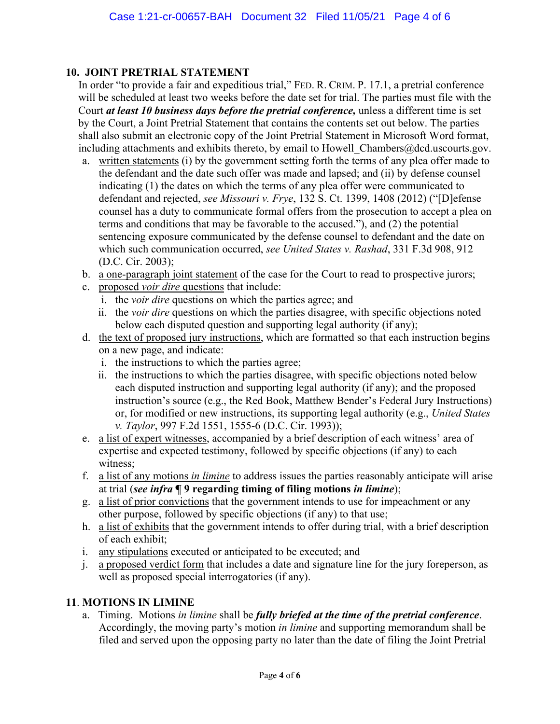## **10. JOINT PRETRIAL STATEMENT**

In order "to provide a fair and expeditious trial," FED. R. CRIM. P. 17.1, a pretrial conference will be scheduled at least two weeks before the date set for trial. The parties must file with the Court *at least 10 business days before the pretrial conference,* unless a different time is set by the Court, a Joint Pretrial Statement that contains the contents set out below. The parties shall also submit an electronic copy of the Joint Pretrial Statement in Microsoft Word format, including attachments and exhibits thereto, by email to Howell Chambers@dcd.uscourts.gov.

- a. written statements (i) by the government setting forth the terms of any plea offer made to the defendant and the date such offer was made and lapsed; and (ii) by defense counsel indicating (1) the dates on which the terms of any plea offer were communicated to defendant and rejected, *see Missouri v. Frye*, 132 S. Ct. 1399, 1408 (2012) ("[D]efense counsel has a duty to communicate formal offers from the prosecution to accept a plea on terms and conditions that may be favorable to the accused."), and (2) the potential sentencing exposure communicated by the defense counsel to defendant and the date on which such communication occurred, *see United States v. Rashad*, 331 F.3d 908, 912 (D.C. Cir. 2003);
- b. a one-paragraph joint statement of the case for the Court to read to prospective jurors;
- c. proposed *voir dire* questions that include:
	- i. the *voir dire* questions on which the parties agree; and
	- ii. the *voir dire* questions on which the parties disagree, with specific objections noted below each disputed question and supporting legal authority (if any);
- d. the text of proposed jury instructions, which are formatted so that each instruction begins on a new page, and indicate:
	- i. the instructions to which the parties agree;
	- ii. the instructions to which the parties disagree, with specific objections noted below each disputed instruction and supporting legal authority (if any); and the proposed instruction's source (e.g., the Red Book, Matthew Bender's Federal Jury Instructions) or, for modified or new instructions, its supporting legal authority (e.g., *United States v. Taylor*, 997 F.2d 1551, 1555-6 (D.C. Cir. 1993));
- e. a list of expert witnesses, accompanied by a brief description of each witness' area of expertise and expected testimony, followed by specific objections (if any) to each witness;
- f. a list of any motions *in limine* to address issues the parties reasonably anticipate will arise at trial (*see infra* **¶ 9 regarding timing of filing motions** *in limine*);
- g. a list of prior convictions that the government intends to use for impeachment or any other purpose, followed by specific objections (if any) to that use;
- h. a list of exhibits that the government intends to offer during trial, with a brief description of each exhibit;
- i. any stipulations executed or anticipated to be executed; and
- j. a proposed verdict form that includes a date and signature line for the jury foreperson, as well as proposed special interrogatories (if any).

#### **11**. **MOTIONS IN LIMINE**

 a. Timing.Motions *in limine* shall be *fully briefed at the time of the pretrial conference*. Accordingly, the moving party's motion *in limine* and supporting memorandum shall be filed and served upon the opposing party no later than the date of filing the Joint Pretrial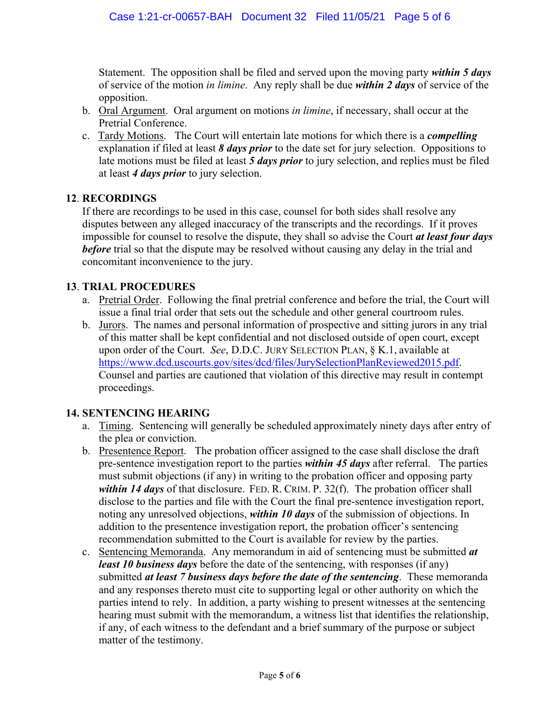Statement. The opposition shall be filed and served upon the moving party *within 5 days* of service of the motion *in limine*. Any reply shall be due *within 2 days* of service of the opposition.

- b. Oral Argument. Oral argument on motions *in limine*, if necessary, shall occur at the Pretrial Conference.
- c. Tardy Motions. The Court will entertain late motions for which there is a *compelling* explanation if filed at least *8 days prior* to the date set for jury selection. Oppositions to late motions must be filed at least *5 days prior* to jury selection, and replies must be filed at least *4 days prior* to jury selection.

## **12**. **RECORDINGS**

If there are recordings to be used in this case, counsel for both sides shall resolve any disputes between any alleged inaccuracy of the transcripts and the recordings. If it proves impossible for counsel to resolve the dispute, they shall so advise the Court *at least four days before* trial so that the dispute may be resolved without causing any delay in the trial and concomitant inconvenience to the jury.

#### **13**. **TRIAL PROCEDURES**

- a. Pretrial Order. Following the final pretrial conference and before the trial, the Court will issue a final trial order that sets out the schedule and other general courtroom rules.
- b. Jurors. The names and personal information of prospective and sitting jurors in any trial of this matter shall be kept confidential and not disclosed outside of open court, except upon order of the Court. *See*, D.D.C. JURY SELECTION PLAN, § K.1, available at https://www.dcd.uscourts.gov/sites/dcd/files/JurySelectionPlanReviewed2015.pdf. Counsel and parties are cautioned that violation of this directive may result in contempt proceedings.

#### **14. SENTENCING HEARING**

- a. Timing. Sentencing will generally be scheduled approximately ninety days after entry of the plea or conviction.
- b. Presentence Report. The probation officer assigned to the case shall disclose the draft pre-sentence investigation report to the parties *within 45 days* after referral. The parties must submit objections (if any) in writing to the probation officer and opposing party *within 14 days* of that disclosure. FED. R. CRIM. P. 32(f). The probation officer shall disclose to the parties and file with the Court the final pre-sentence investigation report, noting any unresolved objections, *within 10 days* of the submission of objections. In addition to the presentence investigation report, the probation officer's sentencing recommendation submitted to the Court is available for review by the parties.
- c. Sentencing Memoranda. Any memorandum in aid of sentencing must be submitted *at least 10 business days* before the date of the sentencing, with responses (if any) submitted *at least 7 business days before the date of the sentencing*. These memoranda and any responses thereto must cite to supporting legal or other authority on which the parties intend to rely. In addition, a party wishing to present witnesses at the sentencing hearing must submit with the memorandum, a witness list that identifies the relationship, if any, of each witness to the defendant and a brief summary of the purpose or subject matter of the testimony.